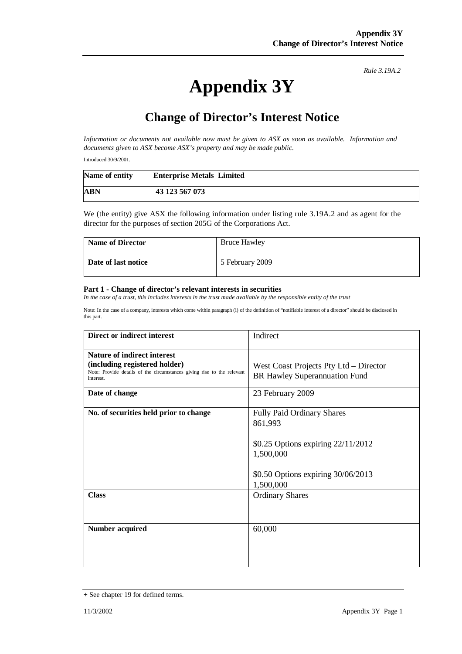*Rule 3.19A.2*

## **Appendix 3Y**

## **Change of Director's Interest Notice**

*Information or documents not available now must be given to ASX as soon as available. Information and documents given to ASX become ASX's property and may be made public.* 

Introduced 30/9/2001.

| Name of entity | <b>Enterprise Metals Limited</b> |
|----------------|----------------------------------|
| ABN            | 43 123 567 073                   |

We (the entity) give ASX the following information under listing rule 3.19A.2 and as agent for the director for the purposes of section 205G of the Corporations Act.

| <b>Name of Director</b> | <b>Bruce Hawley</b> |
|-------------------------|---------------------|
| Date of last notice     | 5 February 2009     |

## **Part 1 - Change of director's relevant interests in securities**

*In the case of a trust, this includes interests in the trust made available by the responsible entity of the trust* 

Note: In the case of a company, interests which come within paragraph (i) of the definition of "notifiable interest of a director" should be disclosed in this part.

| Direct or indirect interest                                                                                                                                                  | Indirect                                                                                                        |
|------------------------------------------------------------------------------------------------------------------------------------------------------------------------------|-----------------------------------------------------------------------------------------------------------------|
| <b>Nature of indirect interest</b><br>(including registered holder)<br>Note: Provide details of the circumstances giving rise to the relevant<br>interest.<br>Date of change | West Coast Projects Pty Ltd – Director<br><b>BR Hawley Superannuation Fund</b><br>23 February 2009              |
| No. of securities held prior to change                                                                                                                                       | <b>Fully Paid Ordinary Shares</b>                                                                               |
|                                                                                                                                                                              | 861,993<br>\$0.25 Options expiring $22/11/2012$<br>1,500,000<br>\$0.50 Options expiring 30/06/2013<br>1,500,000 |
| <b>Class</b>                                                                                                                                                                 | <b>Ordinary Shares</b>                                                                                          |
| <b>Number acquired</b>                                                                                                                                                       | 60,000                                                                                                          |

<sup>+</sup> See chapter 19 for defined terms.